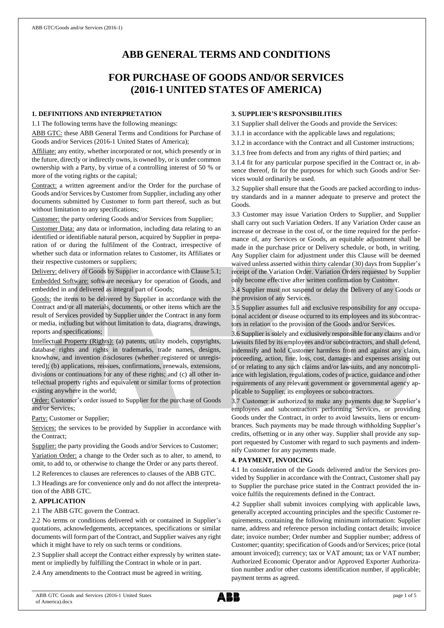# **ABB GENERAL TERMS AND CONDITIONS**

## **FOR PURCHASE OF GOODS AND/OR SERVICES (2016-1 UNITED STATES OF AMERICA)**

#### **1. DEFINITIONS AND INTERPRETATION**

1.1 The following terms have the following meanings:

ABB GTC: these ABB General Terms and Conditions for Purchase of Goods and/or Services (2016-1 United States of America);

Affiliate: any entity, whether incorporated or not, which presently or in the future, directly or indirectly owns, is owned by, or is under common ownership with a Party, by virtue of a controlling interest of 50 % or more of the voting rights or the capital;

Contract: a written agreement and/or the Order for the purchase of Goods and/or Services by Customer from Supplier, including any other documents submitted by Customer to form part thereof, such as but without limitation to any specifications;

Customer: the party ordering Goods and/or Services from Supplier;

Customer Data: any data or information, including data relating to an identified or identifiable natural person, acquired by Supplier in preparation of or during the fulfilment of the Contract, irrespective of whether such data or information relates to Customer, its Affiliates or their respective customers or suppliers;

Delivery: delivery of Goods by Supplier in accordance with Clause 5.1;

Embedded Software: software necessary for operation of Goods, and embedded in and delivered as integral part of Goods;

Goods: the items to be delivered by Supplier in accordance with the Contract and/or all materials, documents, or other items which are the result of Services provided by Supplier under the Contract in any form or media, including but without limitation to data, diagrams, drawings, reports and specifications;

Intellectual Property (Rights): (a) patents, utility models, copyrights, database rights and rights in trademarks, trade names, designs, knowhow, and invention disclosures (whether registered or unregistered); (b) applications, reissues, confirmations, renewals, extensions, divisions or continuations for any of these rights; and (c) all other intellectual property rights and equivalent or similar forms of protection existing anywhere in the world;

Order: Customer's order issued to Supplier for the purchase of Goods and/or Services;

Party: Customer or Supplier;

Services: the services to be provided by Supplier in accordance with the Contract;

Supplier: the party providing the Goods and/or Services to Customer;

Variation Order: a change to the Order such as to alter, to amend, to omit, to add to, or otherwise to change the Order or any parts thereof.

1.2 References to clauses are references to clauses of the ABB GTC.

1.3 Headings are for convenience only and do not affect the interpretation of the ABB GTC.

## **2. APPLICATION**

2.1 The ABB GTC govern the Contract.

2.2 No terms or conditions delivered with or contained in Supplier's quotations, acknowledgements, acceptances, specifications or similar documents will form part of the Contract, and Supplier waives any right which it might have to rely on such terms or conditions.

2.3 Supplier shall accept the Contract either expressly by written statement or impliedly by fulfilling the Contract in whole or in part.

2.4 Any amendments to the Contract must be agreed in writing.

## **3. SUPPLIER'S RESPONSIBILITIES**

3.1 Supplier shall deliver the Goods and provide the Services:

- 3.1.1 in accordance with the applicable laws and regulations;
- 3.1.2 in accordance with the Contract and all Customer instructions;
- 3.1.3 free from defects and from any rights of third parties; and

3.1.4 fit for any particular purpose specified in the Contract or, in absence thereof, fit for the purposes for which such Goods and/or Services would ordinarily be used.

3.2 Supplier shall ensure that the Goods are packed according to industry standards and in a manner adequate to preserve and protect the Goods.

3.3 Customer may issue Variation Orders to Supplier, and Supplier shall carry out such Variation Orders. If any Variation Order cause an increase or decrease in the cost of, or the time required for the performance of, any Services or Goods, an equitable adjustment shall be made in the purchase price or Delivery schedule, or both, in writing. Any Supplier claim for adjustment under this Clause will be deemed waived unless asserted within thirty calendar (30) days from Supplier's receipt of the Variation Order. Variation Orders requested by Supplier only become effective after written confirmation by Customer.

3.4 Supplier must not suspend or delay the Delivery of any Goods or the provision of any Services.

3.5 Supplier assumes full and exclusive responsibility for any occupational accident or disease occurred to its employees and its subcontractors in relation to the provision of the Goods and/or Services.

3.6 Supplier is solely and exclusively responsible for any claims and/or lawsuits filed by its employees and/or subcontractors, and shall defend, indemnify and hold Customer harmless from and against any claim, proceeding, action, fine, loss, cost, damages and expenses arising out of or relating to any such claims and/or lawsuits, and any noncompliance with legislation, regulations, codes of practice, guidance and other requirements of any relevant government or governmental agency applicable to Supplier, its employees or subcontractors.

3.7 Customer is authorized to make any payments due to Supplier's employees and subcontractors performing Services, or providing Goods under the Contract, in order to avoid lawsuits, liens or encumbrances. Such payments may be made through withholding Supplier's credits, offsetting or in any other way. Supplier shall provide any support requested by Customer with regard to such payments and indemnify Customer for any payments made.

## **4. PAYMENT, INVOICING**

4.1 In consideration of the Goods delivered and/or the Services provided by Supplier in accordance with the Contract, Customer shall pay to Supplier the purchase price stated in the Contract provided the invoice fulfils the requirements defined in the Contract.

4.2 Supplier shall submit invoices complying with applicable laws, generally accepted accounting principles and the specific Customer requirements, containing the following minimum information: Supplier name, address and reference person including contact details; invoice date; invoice number; Order number and Supplier number; address of Customer; quantity; specification of Goods and/or Services; price (total amount invoiced); currency; tax or VAT amount; tax or VAT number; Authorized Economic Operator and/or Approved Exporter Authorization number and/or other customs identification number, if applicable; payment terms as agreed.

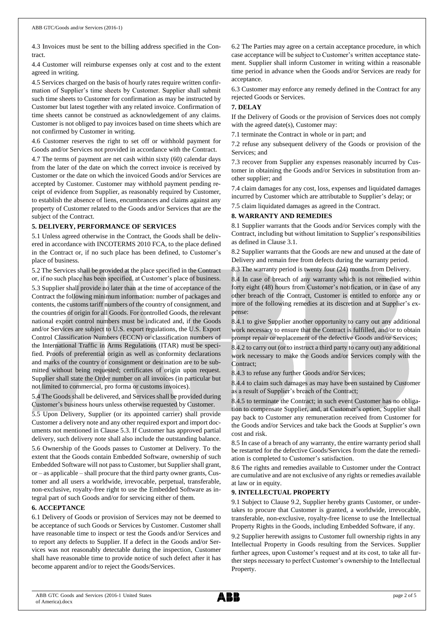4.3 Invoices must be sent to the billing address specified in the Contract.

4.4 Customer will reimburse expenses only at cost and to the extent agreed in writing.

4.5 Services charged on the basis of hourly rates require written confirmation of Supplier's time sheets by Customer. Supplier shall submit such time sheets to Customer for confirmation as may be instructed by Customer but latest together with any related invoice. Confirmation of time sheets cannot be construed as acknowledgement of any claims. Customer is not obliged to pay invoices based on time sheets which are not confirmed by Customer in writing.

4.6 Customer reserves the right to set off or withhold payment for Goods and/or Services not provided in accordance with the Contract.

4.7 The terms of payment are net cash within sixty (60) calendar days from the later of the date on which the correct invoice is received by Customer or the date on which the invoiced Goods and/or Services are accepted by Customer. Customer may withhold payment pending receipt of evidence from Supplier, as reasonably required by Customer, to establish the absence of liens, encumbrances and claims against any property of Customer related to the Goods and/or Services that are the subject of the Contract.

#### **5. DELIVERY, PERFORMANCE OF SERVICES**

5.1 Unless agreed otherwise in the Contract, the Goods shall be delivered in accordance with INCOTERMS 2010 FCA, to the place defined in the Contract or, if no such place has been defined, to Customer's place of business.

5.2 The Services shall be provided at the place specified in the Contract or, if no such place has been specified, at Customer's place of business. 5.3 Supplier shall provide no later than at the time of acceptance of the Contract the following minimum information: number of packages and contents, the customs tariff numbers of the country of consignment, and the countries of origin for all Goods. For controlled Goods, the relevant national export control numbers must be indicated and, if the Goods and/or Services are subject to U.S. export regulations, the U.S. Export Control Classification Numbers (ECCN) or classification numbers of the International Traffic in Arms Regulations (ITAR) must be specified. Proofs of preferential origin as well as conformity declarations and marks of the country of consignment or destination are to be submitted without being requested; certificates of origin upon request. Supplier shall state the Order number on all invoices (in particular but not limited to commercial, pro forma or customs invoices).

5.4 The Goods shall be delivered, and Services shall be provided during Customer's business hours unless otherwise requested by Customer.

5.5 Upon Delivery, Supplier (or its appointed carrier) shall provide Customer a delivery note and any other required export and import documents not mentioned in Clause 5.3. If Customer has approved partial delivery, such delivery note shall also include the outstanding balance. 5.6 Ownership of the Goods passes to Customer at Delivery. To the extent that the Goods contain Embedded Software, ownership of such Embedded Software will not passto Customer, but Supplier shall grant, or – as applicable – shall procure that the third party owner grants, Customer and all users a worldwide, irrevocable, perpetual, transferable, non-exclusive, royalty-free right to use the Embedded Software as integral part of such Goods and/or for servicing either of them.

## **6. ACCEPTANCE**

6.1 Delivery of Goods or provision of Services may not be deemed to be acceptance of such Goods or Services by Customer. Customer shall have reasonable time to inspect or test the Goods and/or Services and to report any defects to Supplier. If a defect in the Goods and/or Services was not reasonably detectable during the inspection, Customer shall have reasonable time to provide notice of such defect after it has become apparent and/or to reject the Goods/Services.

6.2 The Parties may agree on a certain acceptance procedure, in which case acceptance will be subject to Customer's written acceptance statement. Supplier shall inform Customer in writing within a reasonable time period in advance when the Goods and/or Services are ready for acceptance.

6.3 Customer may enforce any remedy defined in the Contract for any rejected Goods or Services.

## **7. DELAY**

If the Delivery of Goods or the provision of Services does not comply with the agreed date(s), Customer may:

7.1 terminate the Contract in whole or in part; and

7.2 refuse any subsequent delivery of the Goods or provision of the Services; and

7.3 recover from Supplier any expenses reasonably incurred by Customer in obtaining the Goods and/or Services in substitution from another supplier; and

7.4 claim damages for any cost, loss, expenses and liquidated damages incurred by Customer which are attributable to Supplier's delay; or

7.5 claim liquidated damages as agreed in the Contract.

## **8. WARRANTY AND REMEDIES**

8.1 Supplier warrants that the Goods and/or Services comply with the Contract, including but without limitation to Supplier's responsibilities as defined in Clause 3.1.

8.2 Supplier warrants that the Goods are new and unused at the date of Delivery and remain free from defects during the warranty period.

8.3 The warranty period is twenty four (24) months from Delivery.

8.4 In case of breach of any warranty which is not remedied within forty eight (48) hours from Customer's notification, or in case of any other breach of the Contract, Customer is entitled to enforce any or more of the following remedies at its discretion and at Supplier's expense:

8.4.1 to give Supplier another opportunity to carry out any additional work necessary to ensure that the Contract is fulfilled, and/or to obtain prompt repair or replacement of the defective Goods and/or Services;

8.4.2 to carry out (or to instruct a third party to carry out) any additional work necessary to make the Goods and/or Services comply with the Contract;

8.4.3 to refuse any further Goods and/or Services;

8.4.4 to claim such damages as may have been sustained by Customer as a result of Supplier's breach of the Contract;

8.4.5 to terminate the Contract; in such event Customer has no obligation to compensate Supplier, and, at Customer's option, Supplier shall pay back to Customer any remuneration received from Customer for the Goods and/or Services and take back the Goods at Supplier's own cost and risk.

8.5 In case of a breach of any warranty, the entire warranty period shall be restarted for the defective Goods/Services from the date the remediation is completed to Customer's satisfaction.

8.6 The rights and remedies available to Customer under the Contract are cumulative and are not exclusive of any rights or remedies available at law or in equity.

#### **9. INTELLECTUAL PROPERTY**

9.1 Subject to Clause 9.2, Supplier hereby grants Customer, or undertakes to procure that Customer is granted, a worldwide, irrevocable, transferable, non-exclusive, royalty-free license to use the Intellectual Property Rights in the Goods, including Embedded Software, if any.

9.2 Supplier herewith assigns to Customer full ownership rights in any Intellectual Property in Goods resulting from the Services. Supplier further agrees, upon Customer's request and at its cost, to take all further steps necessary to perfect Customer's ownership to the Intellectual Property.

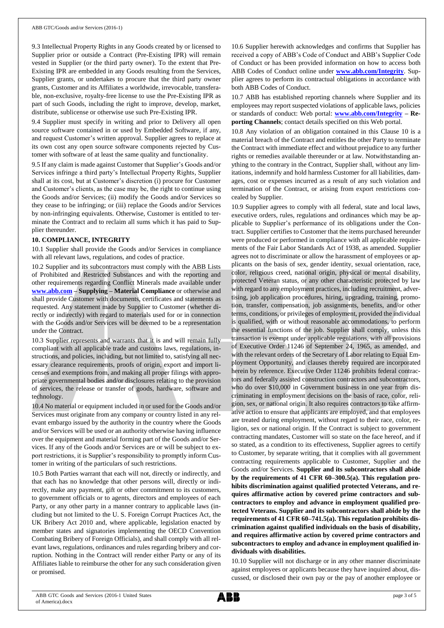9.3 Intellectual Property Rights in any Goods created by or licensed to Supplier prior or outside a Contract (Pre-Existing IPR) will remain vested in Supplier (or the third party owner). To the extent that Pre-Existing IPR are embedded in any Goods resulting from the Services, Supplier grants, or undertakes to procure that the third party owner grants, Customer and its Affiliates a worldwide, irrevocable, transferable, non-exclusive, royalty-free license to use the Pre-Existing IPR as part of such Goods, including the right to improve, develop, market, distribute, sublicense or otherwise use such Pre-Existing IPR.

9.4 Supplier must specify in writing and prior to Delivery all open source software contained in or used by Embedded Software, if any, and request Customer's written approval. Supplier agrees to replace at its own cost any open source software components rejected by Customer with software of at least the same quality and functionality.

9.5 If any claim is made against Customer that Supplier's Goods and/or Services infringe a third party's Intellectual Property Rights, Supplier shall at its cost, but at Customer's discretion (i) procure for Customer and Customer's clients, as the case may be, the right to continue using the Goods and/or Services; (ii) modify the Goods and/or Services so they cease to be infringing; or (iii) replace the Goods and/or Services by non-infringing equivalents. Otherwise, Customer is entitled to terminate the Contract and to reclaim all sums which it has paid to Supplier thereunder.

## **10. COMPLIANCE, INTEGRITY**

10.1 Supplier shall provide the Goods and/or Services in compliance with all relevant laws, regulations, and codes of practice.

10.2 Supplier and its subcontractors must comply with the ABB Lists of Prohibited and Restricted Substances and with the reporting and other requirements regarding Conflict Minerals made available under **[www.abb.com](http://www.abb.com/) – Supplying – Material Compliance** or otherwise and shall provide Customer with documents, certificates and statements as requested. Any statement made by Supplier to Customer (whether directly or indirectly) with regard to materials used for or in connection with the Goods and/or Services will be deemed to be a representation under the Contract.

10.3 Supplier represents and warrants that it is and will remain fully compliant with all applicable trade and customs laws, regulations, instructions, and policies, including, but not limited to, satisfying all necessary clearance requirements, proofs of origin, export and import licenses and exemptions from, and making all proper filings with appropriate governmental bodies and/or disclosures relating to the provision of services, the release or transfer of goods, hardware, software and technology.

10.4 No material or equipment included in or used for the Goods and/or Services must originate from any company or country listed in any relevant embargo issued by the authority in the country where the Goods and/or Services will be used or an authority otherwise having influence over the equipment and material forming part of the Goods and/or Services. If any of the Goods and/or Services are or will be subject to export restrictions, it is Supplier's responsibility to promptly inform Customer in writing of the particulars of such restrictions.

10.5 Both Parties warrant that each will not, directly or indirectly, and that each has no knowledge that other persons will, directly or indirectly, make any payment, gift or other commitment to its customers, to government officials or to agents, directors and employees of each Party, or any other party in a manner contrary to applicable laws (including but not limited to the U. S. Foreign Corrupt Practices Act, the UK Bribery Act 2010 and, where applicable, legislation enacted by member states and signatories implementing the OECD Convention Combating Bribery of Foreign Officials), and shall comply with all relevant laws, regulations, ordinances and rules regarding bribery and corruption. Nothing in the Contract will render either Party or any of its Affiliates liable to reimburse the other for any such consideration given or promised.

10.6 Supplier herewith acknowledges and confirms that Supplier has received a copy of ABB's Code of Conduct and ABB's Supplier Code of Conduct or has been provided information on how to access both ABB Codes of Conduct online under **[www.abb.com/Integrity](http://www.abb.com/Integrity)**. Supplier agrees to perform its contractual obligations in accordance with both ABB Codes of Conduct.

10.7 ABB has established reporting channels where Supplier and its employees may report suspected violations of applicable laws, policies or standards of conduct: Web portal: **[www.abb.com/Integrity](http://www.abb.com/Integrity) – Reporting Channels**; contact details specified on this Web portal.

10.8 Any violation of an obligation contained in this Clause 10 is a material breach of the Contract and entitles the other Party to terminate the Contract with immediate effect and without prejudice to any further rights or remedies available thereunder or at law. Notwithstanding anything to the contrary in the Contract, Supplier shall, without any limitations, indemnify and hold harmless Customer for all liabilities, damages, cost or expenses incurred as a result of any such violation and termination of the Contract, or arising from export restrictions concealed by Supplier.

10.9 Supplier agrees to comply with all federal, state and local laws, executive orders, rules, regulations and ordinances which may be applicable to Supplier's performance of its obligations under the Contract. Supplier certifies to Customer that the items purchased hereunder were produced or performed in compliance with all applicable requirements of the Fair Labor Standards Act of 1938, as amended. Supplier agrees not to discriminate or allow the harassment of employees or applicants on the basis of sex, gender identity, sexual orientation, race, color, religious creed, national origin, physical or mental disability, protected Veteran status, or any other characteristic protected by law with regard to any employment practices, including recruitment, advertising, job application procedures, hiring, upgrading, training, promotion, transfer, compensation, job assignments, benefits, and/or other terms, conditions, or privileges of employment, provided the individual is qualified, with or without reasonable accommodations, to perform the essential functions of the job. Supplier shall comply, unless this transaction is exempt under applicable regulations, with all provisions of Executive Order 11246 of September 24, 1965, as amended, and with the relevant orders of the Secretary of Labor relating to Equal Employment Opportunity, and clauses thereby required are incorporated herein by reference. Executive Order 11246 prohibits federal contractors and federally assisted construction contractors and subcontractors, who do over \$10,000 in Government business in one year from discriminating in employment decisions on the basis of race, color, religion, sex, or national origin. It also requires contractors to take affirmative action to ensure that applicants are employed, and that employees are treated during employment, without regard to their race, color, religion, sex or national origin. If the Contract is subject to government contracting mandates, Customer will so state on the face hereof, and if so stated, as a condition to its effectiveness, Supplier agrees to certify to Customer, by separate writing, that it complies with all government contracting requirements applicable to Customer, Supplier and the Goods and/or Services. **Supplier and its subcontractors shall abide by the requirements of 41 CFR 60–300.5(a). This regulation prohibits discrimination against qualified protected Veterans, and requires affirmative action by covered prime contractors and subcontractors to employ and advance in employment qualified protected Veterans. Supplier and its subcontractors shall abide by the requirements of 41 CFR 60–741.5(a). This regulation prohibits discrimination against qualified individuals on the basis of disability, and requires affirmative action by covered prime contractors and subcontractors to employ and advance in employment qualified individuals with disabilities.**

10.10 Supplier will not discharge or in any other manner discriminate against employees or applicants because they have inquired about, discussed, or disclosed their own pay or the pay of another employee or

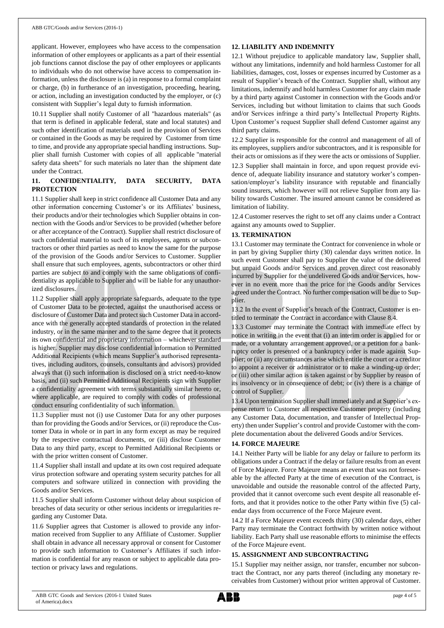applicant. However, employees who have access to the compensation information of other employees or applicants as a part of their essential job functions cannot disclose the pay of other employees or applicants to individuals who do not otherwise have access to compensation information, unless the disclosure is (a) in response to a formal complaint or charge, (b) in furtherance of an investigation, proceeding, hearing, or action, including an investigation conducted by the employer, or (c) consistent with Supplier's legal duty to furnish information.

10.11 Supplier shall notify Customer of all "hazardous materials" (as that term is defined in applicable federal, state and local statutes) and such other identification of materials used in the provision of Services or contained in the Goods as may be required by Customer from time to time, and provide any appropriate special handling instructions. Supplier shall furnish Customer with copies of all applicable "material safety data sheets" for such materials no later than the shipment date under the Contract.

## **11. CONFIDENTIALITY, DATA SECURITY, DATA PROTECTION**

11.1 Supplier shall keep in strict confidence all Customer Data and any other information concerning Customer's or its Affiliates' business, their products and/or their technologies which Supplier obtains in connection with the Goods and/or Services to be provided (whether before or after acceptance of the Contract). Supplier shall restrict disclosure of such confidential material to such of its employees, agents or subcontractors or other third parties as need to know the same for the purpose of the provision of the Goods and/or Services to Customer. Supplier shall ensure that such employees, agents, subcontractors or other third parties are subject to and comply with the same obligations of confidentiality as applicable to Supplier and will be liable for any unauthorized disclosures.

11.2 Supplier shall apply appropriate safeguards, adequate to the type of Customer Data to be protected, against the unauthorised access or disclosure of Customer Data and protect such Customer Data in accordance with the generally accepted standards of protection in the related industry, or in the same manner and to the same degree that it protects its own confidential and proprietary information – whichever standard is higher. Supplier may disclose confidential information to Permitted Additional Recipients (which means Supplier's authorised representatives, including auditors, counsels, consultants and advisors) provided always that (i) such information is disclosed on a strict need-to-know basis, and (ii) such Permitted Additional Recipients sign with Supplier a confidentiality agreement with terms substantially similar hereto or, where applicable, are required to comply with codes of professional conduct ensuring confidentiality of such information.

11.3 Supplier must not (i) use Customer Data for any other purposes than for providing the Goods and/or Services, or (ii) reproduce the Customer Data in whole or in part in any form except as may be required by the respective contractual documents, or (iii) disclose Customer Data to any third party, except to Permitted Additional Recipients or with the prior written consent of Customer.

11.4 Supplier shall install and update at its own cost required adequate virus protection software and operating system security patches for all computers and software utilized in connection with providing the Goods and/or Services.

11.5 Supplier shall inform Customer without delay about suspicion of breaches of data security or other serious incidents or irregularities regarding any Customer Data.

11.6 Supplier agrees that Customer is allowed to provide any information received from Supplier to any Affiliate of Customer. Supplier shall obtain in advance all necessary approval or consent for Customer to provide such information to Customer's Affiliates if such information is confidential for any reason or subject to applicable data protection or privacy laws and regulations.

## **12. LIABILITY AND INDEMNITY**

12.1 Without prejudice to applicable mandatory law, Supplier shall, without any limitations, indemnify and hold harmless Customer for all liabilities, damages, cost, losses or expenses incurred by Customer as a result of Supplier's breach of the Contract. Supplier shall, without any limitations, indemnify and hold harmless Customer for any claim made by a third party against Customer in connection with the Goods and/or Services, including but without limitation to claims that such Goods and/or Services infringe a third party's Intellectual Property Rights. Upon Customer's request Supplier shall defend Customer against any third party claims.

12.2 Supplier is responsible for the control and management of all of its employees, suppliers and/or subcontractors, and it is responsible for their acts or omissions as if they were the acts or omissions of Supplier.

12.3 Supplier shall maintain in force, and upon request provide evidence of, adequate liability insurance and statutory worker's compensation/employer's liability insurance with reputable and financially sound insurers, which however will not relieve Supplier from any liability towards Customer. The insured amount cannot be considered as limitation of liability.

12.4 Customer reserves the right to set off any claims under a Contract against any amounts owed to Supplier.

## **13. TERMINATION**

13.1 Customer may terminate the Contract for convenience in whole or in part by giving Supplier thirty (30) calendar days written notice. In such event Customer shall pay to Supplier the value of the delivered but unpaid Goods and/or Services and proven direct cost reasonably incurred by Supplier for the undelivered Goods and/or Services, however in no event more than the price for the Goods and/or Services agreed under the Contract. No further compensation will be due to Supplier.

13.2 In the event of Supplier's breach of the Contract, Customer is entitled to terminate the Contract in accordance with Clause 8.4.

13.3 Customer may terminate the Contract with immediate effect by notice in writing in the event that (i) an interim order is applied for or made, or a voluntary arrangement approved, or a petition for a bankruptcy order is presented or a bankruptcy order is made against Supplier; or (ii) any circumstances arise which entitle the court or a creditor to appoint a receiver or administrator or to make a winding-up order; or (iii) other similar action is taken against or by Supplier by reason of its insolvency or in consequence of debt; or (iv) there is a change of control of Supplier.

13.4 Upon termination Supplier shall immediately and at Supplier's expense return to Customer all respective Customer property (including any Customer Data, documentation, and transfer of Intellectual Property) then under Supplier's control and provide Customer with the complete documentation about the delivered Goods and/or Services.

#### **14. FORCE MAJEURE**

14.1 Neither Party will be liable for any delay or failure to perform its obligations under a Contract if the delay or failure results from an event of Force Majeure. Force Majeure means an event that was not foreseeable by the affected Party at the time of execution of the Contract, is unavoidable and outside the reasonable control of the affected Party, provided that it cannot overcome such event despite all reasonable efforts, and that it provides notice to the other Party within five (5) calendar days from occurrence of the Force Majeure event.

14.2 If a Force Majeure event exceeds thirty (30) calendar days, either Party may terminate the Contract forthwith by written notice without liability. Each Party shall use reasonable efforts to minimise the effects of the Force Majeure event.

#### **15. ASSIGNMENT AND SUBCONTRACTING**

15.1 Supplier may neither assign, nor transfer, encumber nor subcontract the Contract, nor any parts thereof (including any monetary receivables from Customer) without prior written approval of Customer.